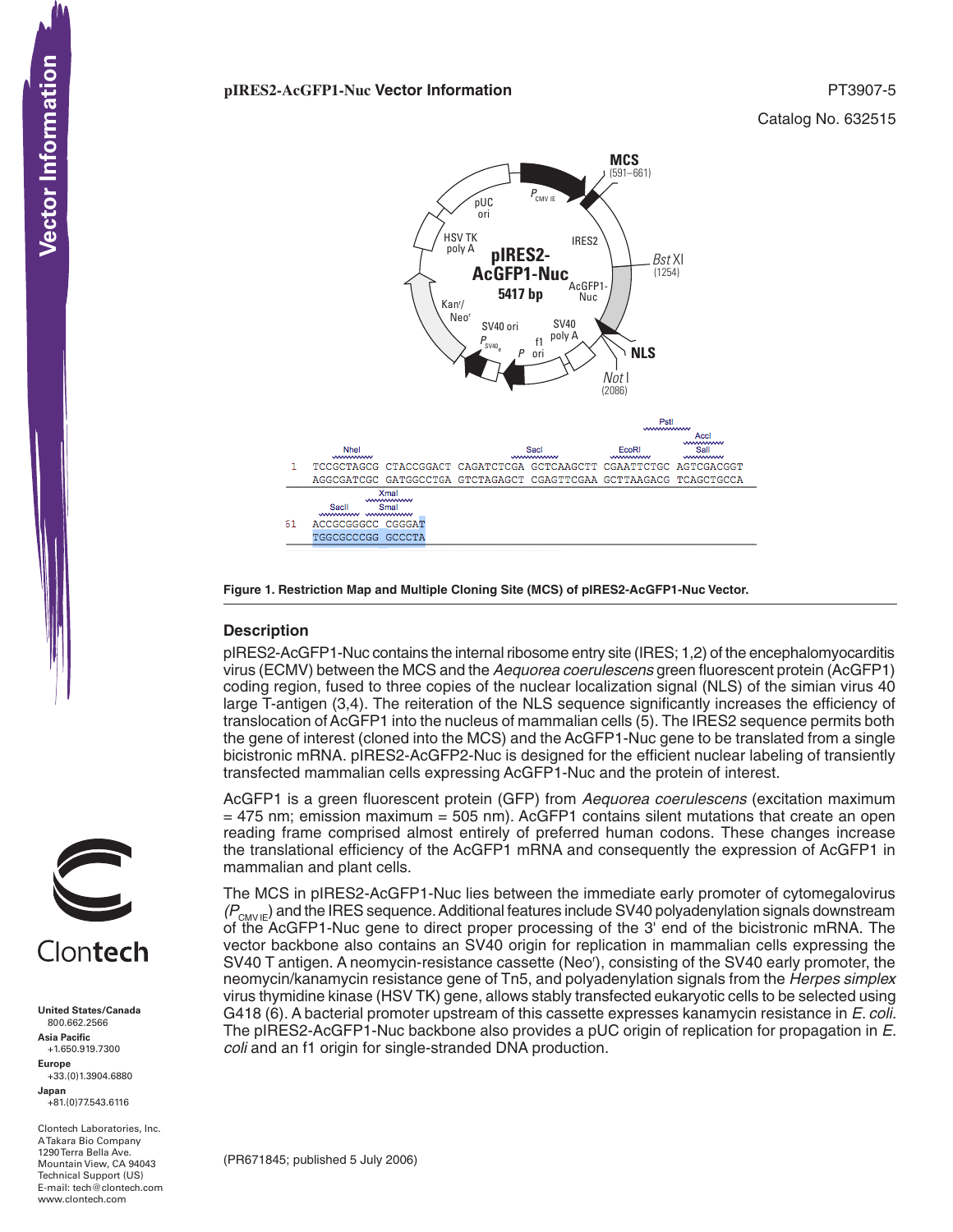## **pIRES2-AcGFP1-Nuc Vector Information** PT3907-5

Catalog No. 632515



**Figure 1. Restriction Map and Multiple Cloning Site (MCS) of pIRES2-AcGFP1-Nuc Vector.** 

## **Description**

pIRES2-AcGFP1-Nuc contains the internal ribosome entry site (IRES; 1,2) of the encephalomyocarditis virus (ECMV) between the MCS and the *Aequorea coerulescens* green fluorescent protein (AcGFP1) coding region, fused to three copies of the nuclear localization signal (NLS) of the simian virus 40 large T-antigen (3,4). The reiteration of the NLS sequence significantly increases the efficiency of translocation of AcGFP1 into the nucleus of mammalian cells (5). The IRES2 sequence permits both the gene of interest (cloned into the MCS) and the AcGFP1-Nuc gene to be translated from a single bicistronic mRNA. pIRES2-AcGFP2-Nuc is designed for the efficient nuclear labeling of transiently transfected mammalian cells expressing AcGFP1-Nuc and the protein of interest.

AcGFP1 is a green fluorescent protein (GFP) from *Aequorea coerulescens* (excitation maximum  $=$  475 nm; emission maximum  $=$  505 nm). AcGFP1 contains silent mutations that create an open reading frame comprised almost entirely of preferred human codons. These changes increase the translational efficiency of the AcGFP1 mRNA and consequently the expression of AcGFP1 in mammalian and plant cells.

The MCS in pIRES2-AcGFP1-Nuc lies between the immediate early promoter of cytomegalovirus *(P<sub>CMV IE</sub>)* and the IRES sequence. Additional features include SV40 polyadenylation signals downstream of the AcGFP1-Nuc gene to direct proper processing of the 3' end of the bicistronic mRNA. The vector backbone also contains an SV40 origin for replication in mammalian cells expressing the SV40 T antigen. A neomycin-resistance cassette (Neo<sup>r</sup>), consisting of the SV40 early promoter, the neomycin/kanamycin resistance gene of Tn5, and polyadenylation signals from the *Herpes simplex*  virus thymidine kinase (HSV TK) gene, allows stably transfected eukaryotic cells to be selected using G418 (6). A bacterial promoter upstream of this cassette expresses kanamycin resistance in *E. coli.*  The pIRES2-AcGFP1-Nuc backbone also provides a pUC origin of replication for propagation in *E. coli* and an f1 origin for single-stranded DNA production.





**United States/Canada** 800.662.2566 **Asia Pacific** +1.650.919.7300 **Europe** +33.(0)1.3904.6880 **Japan** +81.(0)77.543.6116 **CONTECTS**<br>
United States/Cana<br>
800.662.2566<br>
Asia Pacific<br>
+1.650.919.7300<br>
Happe Europe<br>
+33.(0)1.3904.688<br>
Japan<br>
-81.(0)77.543.6116<br>
A Takara Bio Compa<br>
Mountain View, CA<br>
Hechnical Support (<br>
Hechnical Support (<br>
Hech

Clontech Laboratories, Inc. A Takara Bio Company 1290 Terra Bella Ave. Mountain View, CA 94043 Technical Support (US) E-mail: tech@clontech.com<br>www.clontech.com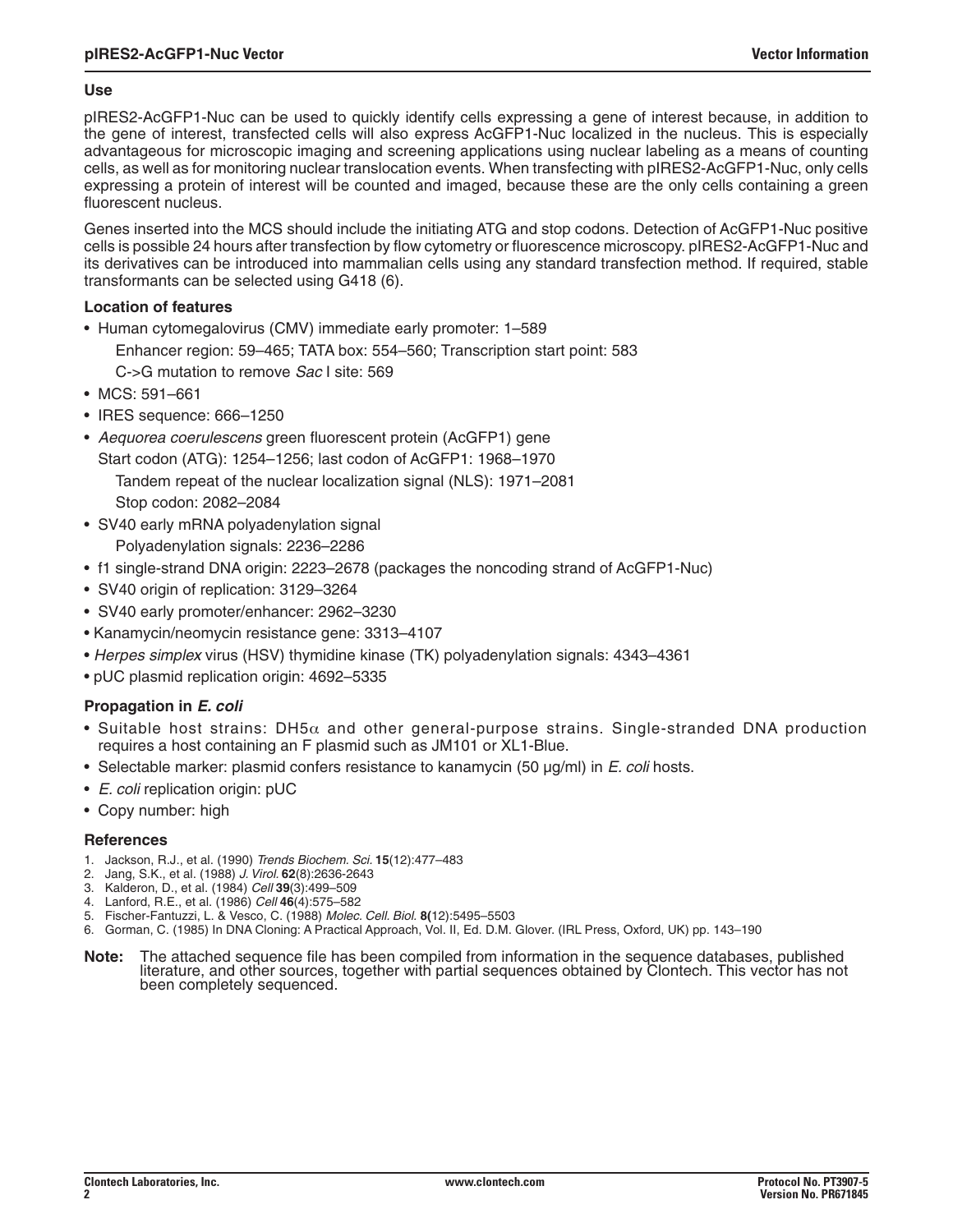## **Use**

pIRES2-AcGFP1-Nuc can be used to quickly identify cells expressing a gene of interest because, in addition to the gene of interest, transfected cells will also express AcGFP1-Nuc localized in the nucleus. This is especially advantageous for microscopic imaging and screening applications using nuclear labeling as a means of counting cells, as well as for monitoring nuclear translocation events. When transfecting with pIRES2-AcGFP1-Nuc, only cells expressing a protein of interest will be counted and imaged, because these are the only cells containing a green fluorescent nucleus.

Genes inserted into the MCS should include the initiating ATG and stop codons. Detection of AcGFP1-Nuc positive cells is possible 24 hours after transfection by flow cytometry or fluorescence microscopy. pIRES2-AcGFP1-Nuc and its derivatives can be introduced into mammalian cells using any standard transfection method. If required, stable transformants can be selected using G418 (6).

## **Location of features**

- Human cytomegalovirus (CMV) immediate early promoter: 1–589
	- Enhancer region: 59–465; TATA box: 554–560; Transcription start point: 583

C->G mutation to remove *Sac* I site: 569

- MCS: 591–661
- IRES sequence: 666–1250
- *Aequorea coerulescens* green fluorescent protein (AcGFP1) gene
- Start codon (ATG): 1254–1256; last codon of AcGFP1: 1968–1970 Tandem repeat of the nuclear localization signal (NLS): 1971–2081 Stop codon: 2082–2084
- SV40 early mRNA polyadenylation signal Polyadenylation signals: 2236–2286
- f1 single-strand DNA origin: 2223–2678 (packages the noncoding strand of AcGFP1-Nuc)
- SV40 origin of replication: 3129–3264
- SV40 early promoter/enhancer: 2962–3230
- Kanamycin/neomycin resistance gene: 3313–4107
- *Herpes simplex* virus (HSV) thymidine kinase (TK) polyadenylation signals: 4343–4361
- pUC plasmid replication origin: 4692–5335

# **Propagation in** *E. coli*

- Suitable host strains:  $DH5\alpha$  and other general-purpose strains. Single-stranded DNA production requires a host containing an F plasmid such as JM101 or XL1-Blue.
- Selectable marker: plasmid confers resistance to kanamycin (50 µg/ml) in *E. coli* hosts.
- *E. coli* replication origin: pUC
- Copy number: high

## **References**

- 1. Jackson, R.J., et al. (1990) *Trends Biochem. Sci.* **15**(12):477–483
- 2. Jang, S.K., et al. (1988) *J. Virol.* **62**(8):2636-2643
- 3. Kalderon, D., et al. (1984) *Cell* **39**(3):499–509
- 4. Lanford, R.E., et al. (1986) *Cell* **46**(4):575–582
- 5. Fischer-Fantuzzi, L. & Vesco, C. (1988) *Molec. Cell. Biol.* **8(**12):5495–5503
- 6. Gorman, C. (1985) In DNA Cloning: A Practical Approach, Vol. II, Ed. D.M. Glover. (IRL Press, Oxford, UK) pp. 143–190
- Note: The attached sequence file has been compiled from information in the sequence databases, published literature, and other sources, together with partial sequences obtained by Clontech. This vector has not been complet